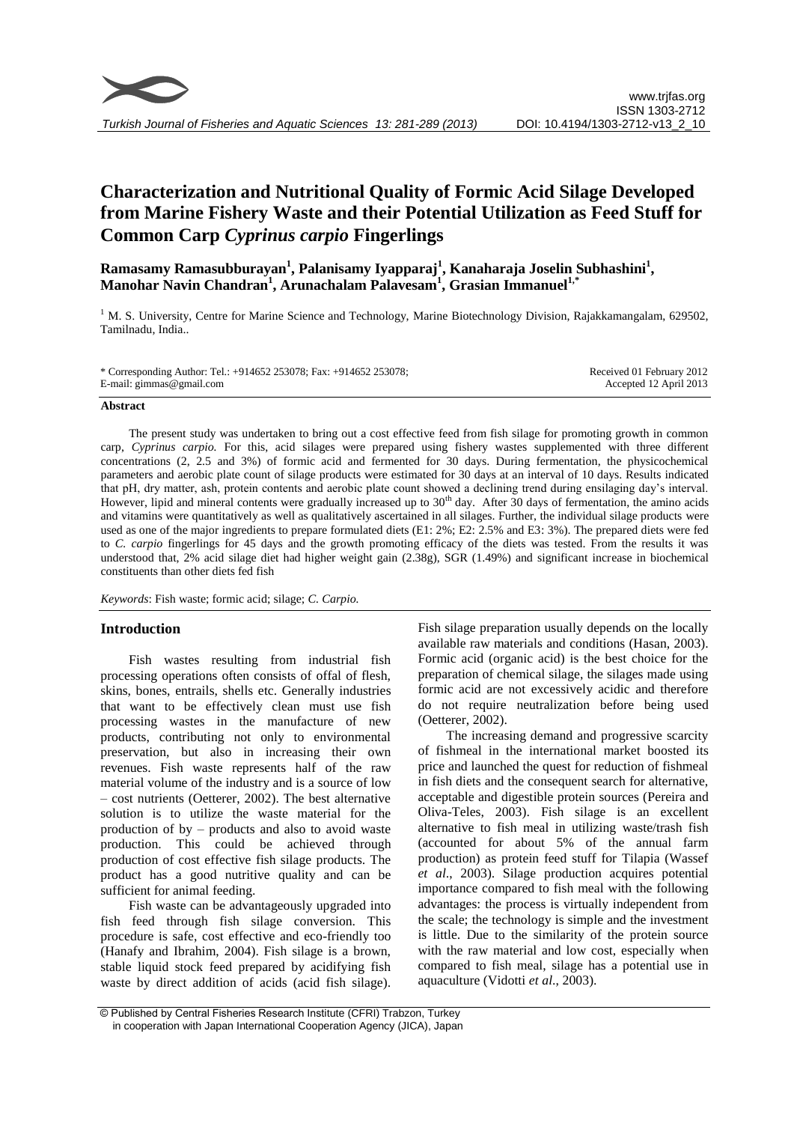

# **Characterization and Nutritional Quality of Formic Acid Silage Developed from Marine Fishery Waste and their Potential Utilization as Feed Stuff for Common Carp** *Cyprinus carpio* **Fingerlings**

**Ramasamy Ramasubburayan<sup>1</sup> , Palanisamy Iyapparaj<sup>1</sup> , Kanaharaja Joselin Subhashini<sup>1</sup> , Manohar Navin Chandran<sup>1</sup> , Arunachalam Palavesam<sup>1</sup> , Grasian Immanuel1,\***

 $1 \text{ M}$ . S. University, Centre for Marine Science and Technology, Marine Biotechnology Division, Rajakkamangalam, 629502, Tamilnadu, India..

| * Corresponding Author: Tel.: +914652 253078; Fax: +914652 253078; | Received 01 February 2012 |
|--------------------------------------------------------------------|---------------------------|
| E-mail: gimmas@gmail.com                                           | Accepted 12 April 2013    |

#### **Abstract**

The present study was undertaken to bring out a cost effective feed from fish silage for promoting growth in common carp, *Cyprinus carpio.* For this, acid silages were prepared using fishery wastes supplemented with three different concentrations (2, 2.5 and 3%) of formic acid and fermented for 30 days. During fermentation, the physicochemical parameters and aerobic plate count of silage products were estimated for 30 days at an interval of 10 days. Results indicated that pH, dry matter, ash, protein contents and aerobic plate count showed a declining trend during ensilaging day's interval. However, lipid and mineral contents were gradually increased up to 30<sup>th</sup> day. After 30 days of fermentation, the amino acids and vitamins were quantitatively as well as qualitatively ascertained in all silages. Further, the individual silage products were used as one of the major ingredients to prepare formulated diets (E1: 2%; E2: 2.5% and E3: 3%). The prepared diets were fed to *C. carpio* fingerlings for 45 days and the growth promoting efficacy of the diets was tested. From the results it was understood that, 2% acid silage diet had higher weight gain (2.38g), SGR (1.49%) and significant increase in biochemical constituents than other diets fed fish

*Keywords*: Fish waste; formic acid; silage; *C. Carpio.*

# **Introduction**

Fish wastes resulting from industrial fish processing operations often consists of offal of flesh, skins, bones, entrails, shells etc. Generally industries that want to be effectively clean must use fish processing wastes in the manufacture of new products, contributing not only to environmental preservation, but also in increasing their own revenues. Fish waste represents half of the raw material volume of the industry and is a source of low – cost nutrients (Oetterer, 2002). The best alternative solution is to utilize the waste material for the production of by – products and also to avoid waste production. This could be achieved through production of cost effective fish silage products. The product has a good nutritive quality and can be sufficient for animal feeding.

Fish waste can be advantageously upgraded into fish feed through fish silage conversion. This procedure is safe, cost effective and eco-friendly too (Hanafy and Ibrahim, 2004). Fish silage is a brown, stable liquid stock feed prepared by acidifying fish waste by direct addition of acids (acid fish silage).

Fish silage preparation usually depends on the locally available raw materials and conditions (Hasan, 2003). Formic acid (organic acid) is the best choice for the preparation of chemical silage, the silages made using formic acid are not excessively acidic and therefore do not require neutralization before being used (Oetterer, 2002).

The increasing demand and progressive scarcity of fishmeal in the international market boosted its price and launched the quest for reduction of fishmeal in fish diets and the consequent search for alternative, acceptable and digestible protein sources (Pereira and Oliva-Teles, 2003). Fish silage is an excellent alternative to fish meal in utilizing waste/trash fish (accounted for about 5% of the annual farm production) as protein feed stuff for Tilapia (Wassef *et al*., 2003). Silage production acquires potential importance compared to fish meal with the following advantages: the process is virtually independent from the scale; the technology is simple and the investment is little. Due to the similarity of the protein source with the raw material and low cost, especially when compared to fish meal, silage has a potential use in aquaculture (Vidotti *et al*., 2003).

<sup>©</sup> Published by Central Fisheries Research Institute (CFRI) Trabzon, Turkey in cooperation with Japan International Cooperation Agency (JICA), Japan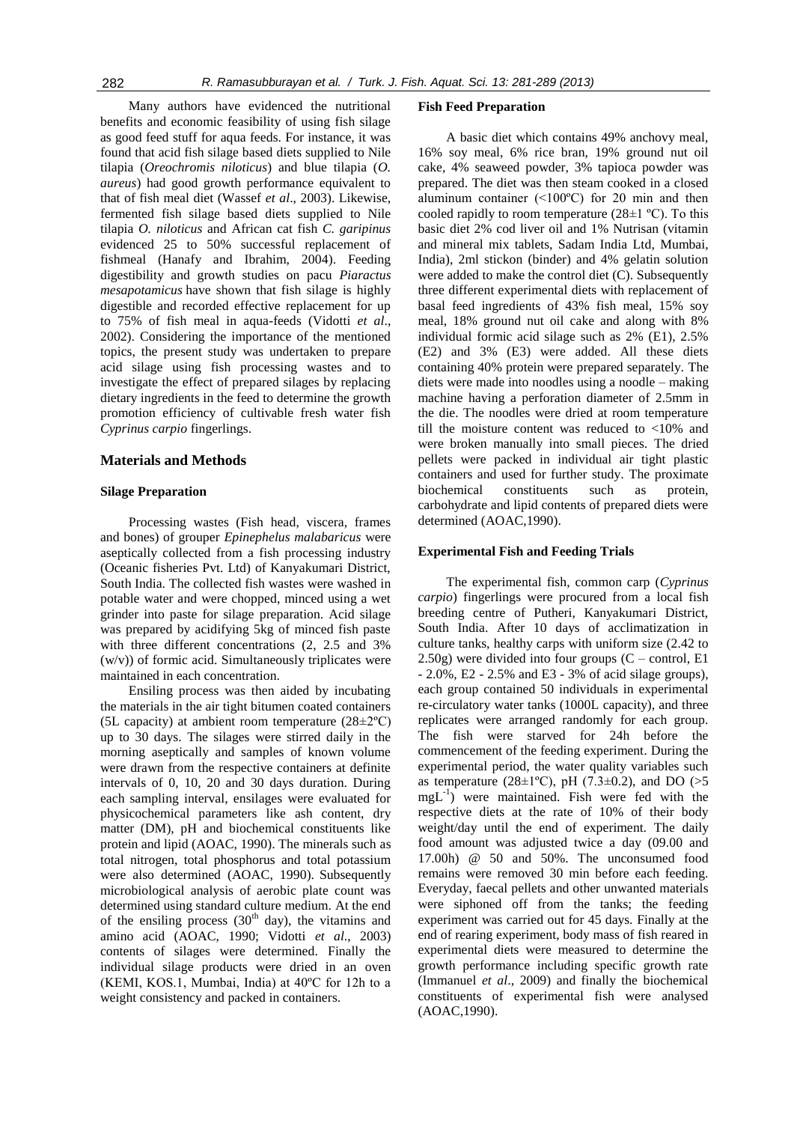Many authors have evidenced the nutritional benefits and economic feasibility of using fish silage as good feed stuff for aqua feeds. For instance, it was found that acid fish silage based diets supplied to Nile tilapia (*Oreochromis niloticus*) and blue tilapia (*O. aureus*) had good growth performance equivalent to that of fish meal diet (Wassef *et al*., 2003). Likewise, fermented fish silage based diets supplied to Nile tilapia *O. niloticus* and African cat fish *C. garipinus* evidenced 25 to 50% successful replacement of fishmeal (Hanafy and Ibrahim, 2004). Feeding digestibility and growth studies on pacu *Piaractus mesapotamicus* have shown that fish silage is highly digestible and recorded effective replacement for up to 75% of fish meal in aqua-feeds (Vidotti *et al*., 2002). Considering the importance of the mentioned topics, the present study was undertaken to prepare acid silage using fish processing wastes and to investigate the effect of prepared silages by replacing dietary ingredients in the feed to determine the growth promotion efficiency of cultivable fresh water fish *Cyprinus carpio* fingerlings.

#### **Materials and Methods**

#### **Silage Preparation**

Processing wastes (Fish head, viscera, frames and bones) of grouper *Epinephelus malabaricus* were aseptically collected from a fish processing industry (Oceanic fisheries Pvt. Ltd) of Kanyakumari District, South India. The collected fish wastes were washed in potable water and were chopped, minced using a wet grinder into paste for silage preparation. Acid silage was prepared by acidifying 5kg of minced fish paste with three different concentrations (2, 2.5 and 3% (w/v)) of formic acid. Simultaneously triplicates were maintained in each concentration.

Ensiling process was then aided by incubating the materials in the air tight bitumen coated containers (5L capacity) at ambient room temperature  $(28 \pm 2^{\circ}C)$ up to 30 days. The silages were stirred daily in the morning aseptically and samples of known volume were drawn from the respective containers at definite intervals of 0, 10, 20 and 30 days duration. During each sampling interval, ensilages were evaluated for physicochemical parameters like ash content, dry matter (DM), pH and biochemical constituents like protein and lipid (AOAC, 1990). The minerals such as total nitrogen, total phosphorus and total potassium were also determined (AOAC, 1990). Subsequently microbiological analysis of aerobic plate count was determined using standard culture medium. At the end of the ensiling process  $(30<sup>th</sup> day)$ , the vitamins and amino acid (AOAC, 1990; Vidotti *et al*., 2003) contents of silages were determined. Finally the individual silage products were dried in an oven (KEMI, KOS.1, Mumbai, India) at 40ºC for 12h to a weight consistency and packed in containers.

#### **Fish Feed Preparation**

A basic diet which contains 49% anchovy meal, 16% soy meal, 6% rice bran, 19% ground nut oil cake, 4% seaweed powder, 3% tapioca powder was prepared. The diet was then steam cooked in a closed aluminum container (<100ºC) for 20 min and then cooled rapidly to room temperature  $(28\pm1\degree C)$ . To this basic diet 2% cod liver oil and 1% Nutrisan (vitamin and mineral mix tablets, Sadam India Ltd, Mumbai, India), 2ml stickon (binder) and 4% gelatin solution were added to make the control diet (C). Subsequently three different experimental diets with replacement of basal feed ingredients of 43% fish meal, 15% soy meal, 18% ground nut oil cake and along with 8% individual formic acid silage such as 2% (E1), 2.5% (E2) and 3% (E3) were added. All these diets containing 40% protein were prepared separately. The diets were made into noodles using a noodle – making machine having a perforation diameter of 2.5mm in the die. The noodles were dried at room temperature till the moisture content was reduced to <10% and were broken manually into small pieces. The dried pellets were packed in individual air tight plastic containers and used for further study. The proximate biochemical constituents such as protein, carbohydrate and lipid contents of prepared diets were determined (AOAC,1990).

#### **Experimental Fish and Feeding Trials**

The experimental fish, common carp (*Cyprinus carpio*) fingerlings were procured from a local fish breeding centre of Putheri, Kanyakumari District, South India. After 10 days of acclimatization in culture tanks, healthy carps with uniform size (2.42 to  $2.50g$ ) were divided into four groups  $(C -$  control, E1 - 2.0%, E2 - 2.5% and E3 - 3% of acid silage groups), each group contained 50 individuals in experimental re-circulatory water tanks (1000L capacity), and three replicates were arranged randomly for each group. The fish were starved for 24h before the commencement of the feeding experiment. During the experimental period, the water quality variables such as temperature (28 $\pm$ 1°C), pH (7.3 $\pm$ 0.2), and DO (>5 mgL-1 ) were maintained. Fish were fed with the respective diets at the rate of 10% of their body weight/day until the end of experiment. The daily food amount was adjusted twice a day (09.00 and 17.00h) @ 50 and 50%. The unconsumed food remains were removed 30 min before each feeding. Everyday, faecal pellets and other unwanted materials were siphoned off from the tanks; the feeding experiment was carried out for 45 days. Finally at the end of rearing experiment, body mass of fish reared in experimental diets were measured to determine the growth performance including specific growth rate (Immanuel *et al*., 2009) and finally the biochemical constituents of experimental fish were analysed (AOAC,1990).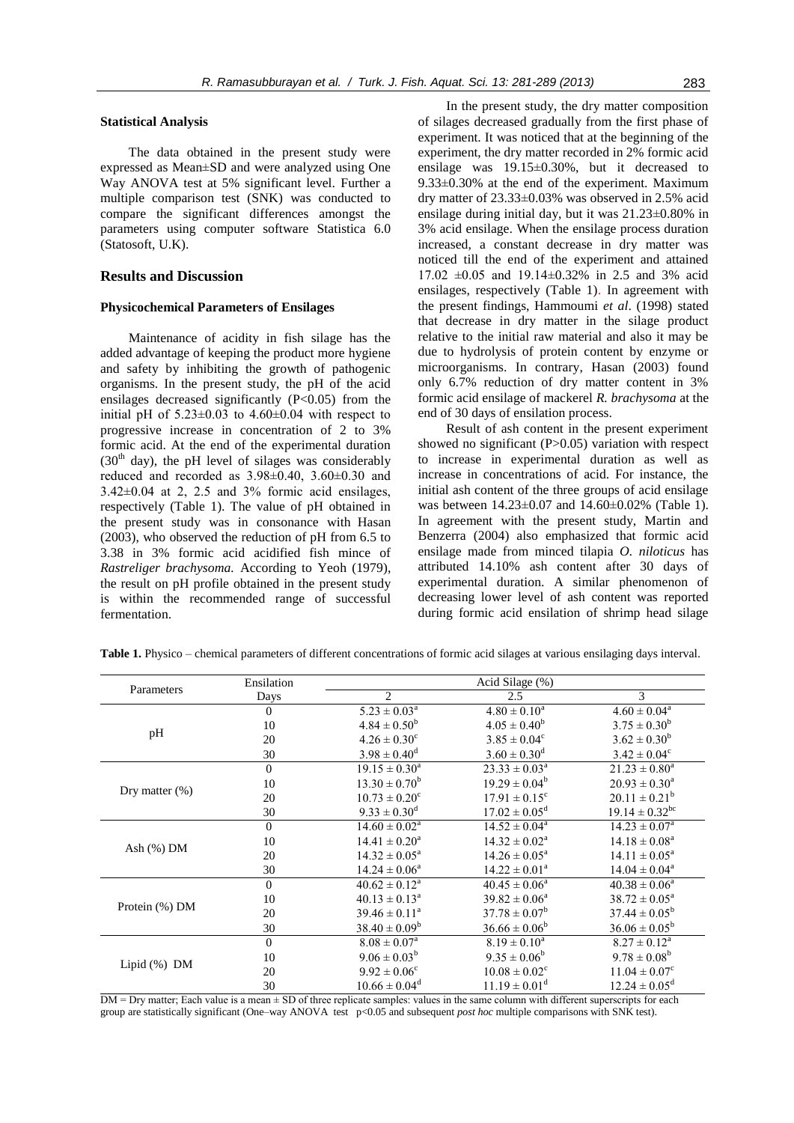#### **Statistical Analysis**

The data obtained in the present study were expressed as Mean±SD and were analyzed using One Way ANOVA test at 5% significant level. Further a multiple comparison test (SNK) was conducted to compare the significant differences amongst the parameters using computer software Statistica 6.0 (Statosoft, U.K).

# **Results and Discussion**

#### **Physicochemical Parameters of Ensilages**

Maintenance of acidity in fish silage has the added advantage of keeping the product more hygiene and safety by inhibiting the growth of pathogenic organisms. In the present study, the pH of the acid ensilages decreased significantly  $(P<0.05)$  from the initial pH of  $5.23\pm0.03$  to  $4.60\pm0.04$  with respect to progressive increase in concentration of 2 to 3% formic acid. At the end of the experimental duration  $(30<sup>th</sup>$  day), the pH level of silages was considerably reduced and recorded as  $3.98\pm0.40$ ,  $3.60\pm0.30$  and  $3.42\pm0.04$  at 2, 2.5 and 3% formic acid ensilages, respectively (Table 1). The value of pH obtained in the present study was in consonance with Hasan (2003), who observed the reduction of pH from 6.5 to 3.38 in 3% formic acid acidified fish mince of *Rastreliger brachysoma.* According to Yeoh (1979), the result on pH profile obtained in the present study is within the recommended range of successful fermentation.

In the present study, the dry matter composition of silages decreased gradually from the first phase of experiment. It was noticed that at the beginning of the experiment, the dry matter recorded in 2% formic acid ensilage was 19.15±0.30%, but it decreased to 9.33±0.30% at the end of the experiment. Maximum dry matter of 23.33±0.03% was observed in 2.5% acid ensilage during initial day, but it was 21.23±0.80% in 3% acid ensilage. When the ensilage process duration increased, a constant decrease in dry matter was noticed till the end of the experiment and attained 17.02 ±0.05 and 19.14±0.32% in 2.5 and 3% acid ensilages, respectively (Table 1). In agreement with the present findings, Hammoumi *et al*. (1998) stated that decrease in dry matter in the silage product relative to the initial raw material and also it may be due to hydrolysis of protein content by enzyme or microorganisms. In contrary, Hasan (2003) found only 6.7% reduction of dry matter content in 3% formic acid ensilage of mackerel *R. brachysoma* at the end of 30 days of ensilation process.

Result of ash content in the present experiment showed no significant (P>0.05) variation with respect to increase in experimental duration as well as increase in concentrations of acid. For instance, the initial ash content of the three groups of acid ensilage was between 14.23±0.07 and 14.60±0.02% (Table 1). In agreement with the present study, Martin and Benzerra (2004) also emphasized that formic acid ensilage made from minced tilapia *O. niloticus* has attributed 14.10% ash content after 30 days of experimental duration. A similar phenomenon of decreasing lower level of ash content was reported during formic acid ensilation of shrimp head silage

|                 | Ensilation     |                               | Acid Silage (%)               |                                |
|-----------------|----------------|-------------------------------|-------------------------------|--------------------------------|
| Parameters      | Days           | $\overline{2}$                | 2.5                           | 3                              |
|                 | $\theta$       | $5.23 \pm 0.03^a$             | $4.80 \pm 0.10^a$             | $4.60 \pm 0.04^a$              |
|                 | 10             | $4.84 \pm 0.50^b$             | $4.05 \pm 0.40^b$             | $3.75 \pm 0.30^b$              |
| pH              | 20             | $4.26 \pm 0.30^{\circ}$       | $3.85 \pm 0.04^c$             | $3.62 \pm 0.30^b$              |
|                 | 30             | $3.98 \pm 0.40^d$             | $3.60 \pm 0.30$ <sup>d</sup>  | $3.42 \pm 0.04^{\circ}$        |
|                 | $\overline{0}$ | $19.15 \pm 0.30^a$            | $23.33 \pm 0.03^a$            | $21.23 \pm 0.80^a$             |
|                 | 10             | $13.30 \pm 0.70^b$            | $19.29 \pm 0.04^b$            | $20.93 \pm 0.30^{\circ}$       |
| Dry matter (%)  | 20             | $10.73 \pm 0.20^{\circ}$      | $17.91 \pm 0.15$ <sup>c</sup> | $20.11 \pm 0.21^b$             |
|                 | 30             | $9.33 \pm 0.30^d$             | $17.02 \pm 0.05^{\text{d}}$   | $19.14 \pm 0.32$ <sup>bc</sup> |
|                 | $\Omega$       | $14.60 \pm 0.02^{\text{a}}$   | $14.52 \pm 0.04^{\circ}$      | $14.23 \pm 0.07^{\text{a}}$    |
|                 | 10             | $14.41 \pm 0.20^{\circ}$      | $14.32 \pm 0.02^a$            | $14.18 \pm 0.08^a$             |
| Ash $(\%)$ DM   | 20             | $14.32 \pm 0.05^{\text{a}}$   | $14.26 \pm 0.05^{\text{a}}$   | $14.11 \pm 0.05^{\text{a}}$    |
|                 | 30             | $14.24 \pm 0.06^a$            | $14.22 \pm 0.01^a$            | $14.04 \pm 0.04^{\circ}$       |
| Protein (%) DM  | $\overline{0}$ | $40.62 \pm 0.12^{\text{a}}$   | $40.45 \pm 0.06^a$            | $40.38 \pm 0.06^a$             |
|                 | 10             | $40.13 \pm 0.13^{\text{a}}$   | $39.82 \pm 0.06^a$            | $38.72 \pm 0.05^{\circ}$       |
|                 | 20             | $39.46 \pm 0.11^a$            | $37.78 \pm 0.07^b$            | $37.44 \pm 0.05^b$             |
|                 | 30             | $38.40 \pm 0.09^b$            | $36.66 \pm 0.06^b$            | $36.06 \pm 0.05^b$             |
|                 | $\overline{0}$ | $8.08 \pm 0.07^{\rm a}$       | $8.19 \pm 0.10^a$             | $8.27 \pm 0.12^a$              |
|                 | 10             | $9.06 \pm 0.03^b$             | $9.35 \pm 0.06^b$             | $9.78 \pm 0.08^b$              |
| Lipid $(\%)$ DM | 20             | $9.92 \pm 0.06^{\circ}$       | $10.08 \pm 0.02$ <sup>c</sup> | $11.04 \pm 0.07$ <sup>c</sup>  |
|                 | 30             | $10.66 \pm 0.04$ <sup>d</sup> | $11.19 \pm 0.01$ <sup>d</sup> | $12.24 \pm 0.05^{\text{d}}$    |

**Table 1.** Physico – chemical parameters of different concentrations of formic acid silages at various ensilaging days interval.

DM = Dry matter; Each value is a mean  $\pm$  SD of three replicate samples: values in the same column with different superscripts for each group are statistically significant (One–way ANOVA test p<0.05 and subsequent *post hoc* multiple comparisons with SNK test).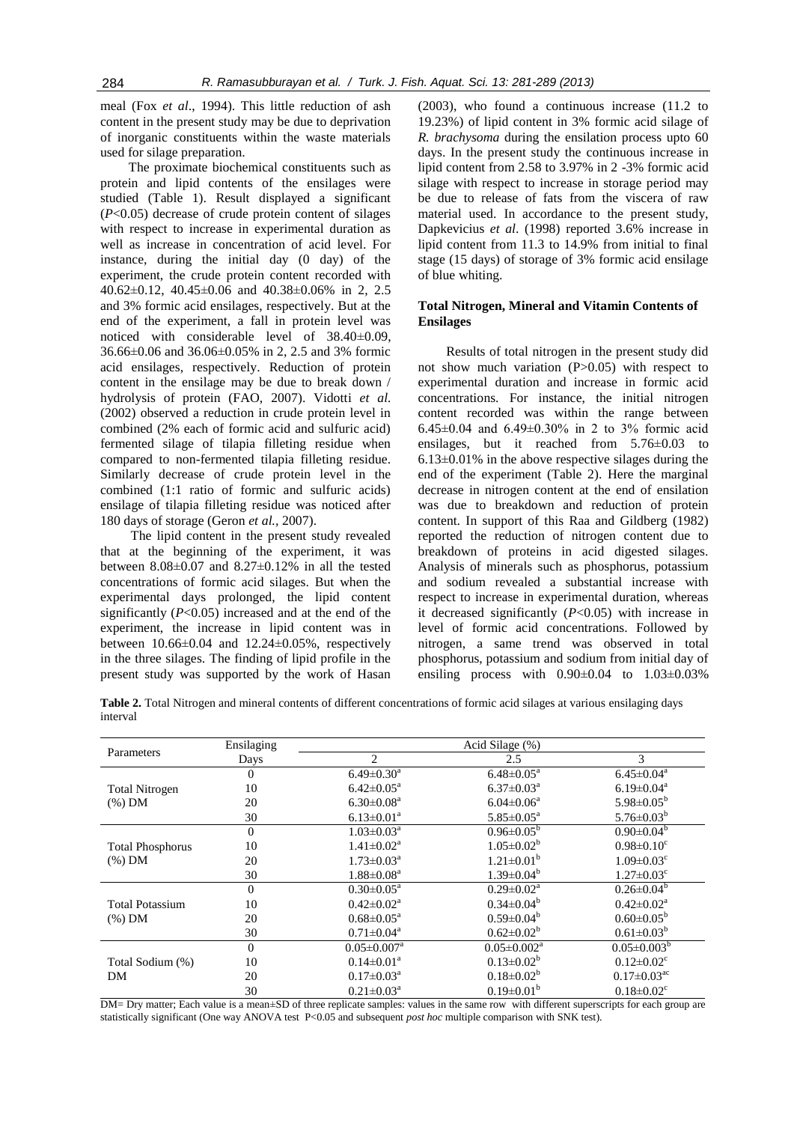meal (Fox *et al*., 1994). This little reduction of ash content in the present study may be due to deprivation of inorganic constituents within the waste materials used for silage preparation.

The proximate biochemical constituents such as protein and lipid contents of the ensilages were studied (Table 1). Result displayed a significant (*P*<0.05) decrease of crude protein content of silages with respect to increase in experimental duration as well as increase in concentration of acid level. For instance, during the initial day (0 day) of the experiment, the crude protein content recorded with 40.62±0.12, 40.45±0.06 and 40.38±0.06% in 2, 2.5 and 3% formic acid ensilages, respectively. But at the end of the experiment, a fall in protein level was noticed with considerable level of 38.40±0.09, 36.66±0.06 and 36.06±0.05% in 2, 2.5 and 3% formic acid ensilages, respectively. Reduction of protein content in the ensilage may be due to break down / hydrolysis of protein (FAO, 2007). Vidotti *et al.* (2002) observed a reduction in crude protein level in combined (2% each of formic acid and sulfuric acid) fermented silage of tilapia filleting residue when compared to non-fermented tilapia filleting residue. Similarly decrease of crude protein level in the combined (1:1 ratio of formic and sulfuric acids) ensilage of tilapia filleting residue was noticed after 180 days of storage (Geron *et al.,* 2007).

The lipid content in the present study revealed that at the beginning of the experiment, it was between 8.08±0.07 and 8.27±0.12% in all the tested concentrations of formic acid silages. But when the experimental days prolonged, the lipid content significantly (*P*<0.05) increased and at the end of the experiment, the increase in lipid content was in between  $10.66\pm0.04$  and  $12.24\pm0.05\%$ , respectively in the three silages. The finding of lipid profile in the present study was supported by the work of Hasan

(2003), who found a continuous increase (11.2 to 19.23%) of lipid content in 3% formic acid silage of *R. brachysoma* during the ensilation process upto 60 days. In the present study the continuous increase in lipid content from 2.58 to 3.97% in 2 -3% formic acid silage with respect to increase in storage period may be due to release of fats from the viscera of raw material used. In accordance to the present study, Dapkevicius *et al*. (1998) reported 3.6% increase in lipid content from 11.3 to 14.9% from initial to final stage (15 days) of storage of 3% formic acid ensilage of blue whiting.

# **Total Nitrogen, Mineral and Vitamin Contents of Ensilages**

Results of total nitrogen in the present study did not show much variation (P>0.05) with respect to experimental duration and increase in formic acid concentrations. For instance, the initial nitrogen content recorded was within the range between 6.45±0.04 and 6.49±0.30% in 2 to 3% formic acid ensilages, but it reached from 5.76±0.03 to  $6.13\pm0.01\%$  in the above respective silages during the end of the experiment (Table 2). Here the marginal decrease in nitrogen content at the end of ensilation was due to breakdown and reduction of protein content. In support of this Raa and Gildberg (1982) reported the reduction of nitrogen content due to breakdown of proteins in acid digested silages. Analysis of minerals such as phosphorus, potassium and sodium revealed a substantial increase with respect to increase in experimental duration, whereas it decreased significantly (*P*<0.05) with increase in level of formic acid concentrations. Followed by nitrogen, a same trend was observed in total phosphorus, potassium and sodium from initial day of ensiling process with  $0.90\pm0.04$  to  $1.03\pm0.03\%$ 

**Table 2.** Total Nitrogen and mineral contents of different concentrations of formic acid silages at various ensilaging days interval

|                                      | Ensilaging     | Acid Silage (%)               |                            |                               |  |
|--------------------------------------|----------------|-------------------------------|----------------------------|-------------------------------|--|
| Parameters                           | Days           | $\mathfrak{D}$                | 2.5                        | 3                             |  |
|                                      | $\overline{0}$ | $6.49 \pm 0.30$ <sup>a</sup>  | $6.48 \pm 0.05^{\text{a}}$ | $6.45 \pm 0.04$ <sup>a</sup>  |  |
| <b>Total Nitrogen</b>                | 10             | $6.42 \pm 0.05^{\text{a}}$    | $6.37 \pm 0.03^{\text{a}}$ | $6.19 \pm 0.04^a$             |  |
| $(\%)$ DM                            | 20             | $6.30 \pm 0.08^{\text{a}}$    | $6.04 \pm 0.06^a$          | $5.98 \pm 0.05^b$             |  |
|                                      | 30             | $6.13 \pm 0.01^a$             | $5.85 \pm 0.05^{\text{a}}$ | $5.76 \pm 0.03^b$             |  |
| <b>Total Phosphorus</b><br>$(\%)$ DM | $\theta$       | $1.03 \pm 0.03^{\text{a}}$    | $0.96 \pm 0.05^{\circ}$    | $0.90 \pm 0.04^b$             |  |
|                                      | 10             | $1.41 \pm 0.02^a$             | $1.05 \pm 0.02^b$          | $0.98 \pm 0.10^c$             |  |
|                                      | 20             | $1.73 \pm 0.03^{\text{a}}$    | $1.21 \pm 0.01^b$          | $1.09 \pm 0.03$ <sup>c</sup>  |  |
|                                      | 30             | $1.88 \pm 0.08^a$             | $1.39 \pm 0.04^b$          | $1.27 \pm 0.03$ <sup>c</sup>  |  |
| <b>Total Potassium</b><br>$(\%)$ DM  | $\theta$       | $0.30 \pm 0.05^{\text{a}}$    | $0.29 \pm 0.02^a$          | $0.26 \pm 0.04^b$             |  |
|                                      | 10             | $0.42 \pm 0.02^a$             | $0.34 \pm 0.04^b$          | $0.42 \pm 0.02^a$             |  |
|                                      | 20             | $0.68 \pm 0.05^{\text{a}}$    | $0.59 \pm 0.04^b$          | $0.60 \pm 0.05^{\rm b}$       |  |
|                                      | 30             | $0.71 \pm 0.04^{\text{a}}$    | $0.62 \pm 0.02^b$          | $0.61 \pm 0.03^b$             |  |
| Total Sodium (%)<br>DM               | $\Omega$       | $0.05 \pm 0.007$ <sup>a</sup> | $0.05 \pm 0.002^a$         | $0.05 \pm 0.003^b$            |  |
|                                      | 10             | $0.14 \pm 0.01^a$             | $0.13 \pm 0.02^b$          | $0.12 \pm 0.02$ <sup>c</sup>  |  |
|                                      | 20             | $0.17 \pm 0.03^{\text{a}}$    | $0.18 \pm 0.02^b$          | $0.17 \pm 0.03$ <sup>ac</sup> |  |
|                                      | 30             | $0.21 \pm 0.03^{\text{a}}$    | $0.19 \pm 0.01^b$          | $0.18 \pm 0.02$ <sup>c</sup>  |  |

DM= Dry matter; Each value is a mean $\pm$ SD of three replicate samples: values in the same row with different superscripts for each group are statistically significant (One way ANOVA test P<0.05 and subsequent *post hoc* multiple comparison with SNK test).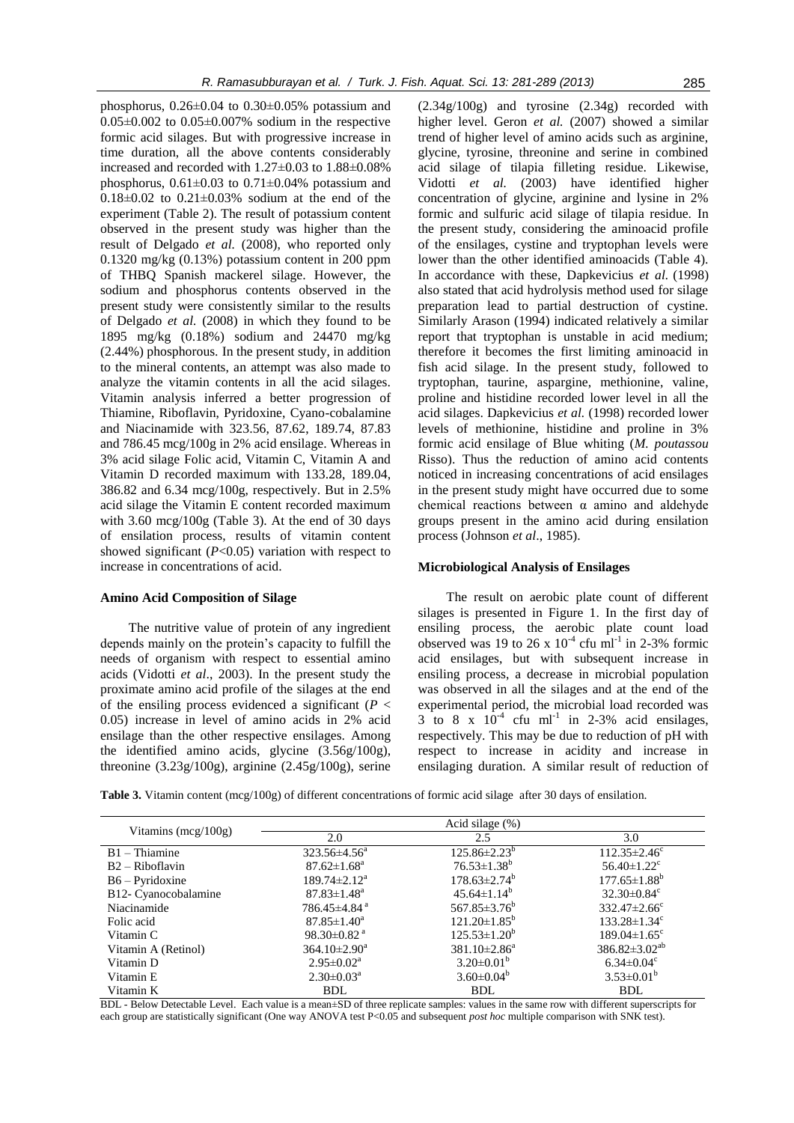phosphorus,  $0.26 \pm 0.04$  to  $0.30 \pm 0.05\%$  potassium and  $0.05\pm0.002$  to  $0.05\pm0.007\%$  sodium in the respective formic acid silages. But with progressive increase in time duration, all the above contents considerably increased and recorded with 1.27±0.03 to 1.88±0.08% phosphorus,  $0.61\pm0.03$  to  $0.71\pm0.04\%$  potassium and  $0.18\pm0.02$  to  $0.21\pm0.03\%$  sodium at the end of the experiment (Table 2). The result of potassium content observed in the present study was higher than the result of Delgado *et al.* (2008), who reported only 0.1320 mg/kg (0.13%) potassium content in 200 ppm of THBQ Spanish mackerel silage. However, the sodium and phosphorus contents observed in the present study were consistently similar to the results of Delgado *et al.* (2008) in which they found to be 1895 mg/kg (0.18%) sodium and 24470 mg/kg (2.44%) phosphorous. In the present study, in addition to the mineral contents, an attempt was also made to analyze the vitamin contents in all the acid silages. Vitamin analysis inferred a better progression of Thiamine, Riboflavin, Pyridoxine, Cyano-cobalamine and Niacinamide with 323.56, 87.62, 189.74, 87.83 and 786.45 mcg/100g in 2% acid ensilage. Whereas in 3% acid silage Folic acid, Vitamin C, Vitamin A and Vitamin D recorded maximum with 133.28, 189.04, 386.82 and 6.34 mcg/100g, respectively. But in 2.5% acid silage the Vitamin E content recorded maximum with 3.60 mcg/100g (Table 3). At the end of 30 days of ensilation process, results of vitamin content showed significant  $(P<0.05)$  variation with respect to increase in concentrations of acid.

#### **Amino Acid Composition of Silage**

The nutritive value of protein of any ingredient depends mainly on the protein's capacity to fulfill the needs of organism with respect to essential amino acids (Vidotti *et al*., 2003). In the present study the proximate amino acid profile of the silages at the end of the ensiling process evidenced a significant (*P* < 0.05) increase in level of amino acids in 2% acid ensilage than the other respective ensilages. Among the identified amino acids, glycine (3.56g/100g), threonine (3.23g/100g), arginine (2.45g/100g), serine

(2.34g/100g) and tyrosine (2.34g) recorded with higher level. Geron *et al.* (2007) showed a similar trend of higher level of amino acids such as arginine, glycine, tyrosine, threonine and serine in combined acid silage of tilapia filleting residue. Likewise, Vidotti *et al.* (2003) have identified higher concentration of glycine, arginine and lysine in 2% formic and sulfuric acid silage of tilapia residue. In the present study, considering the aminoacid profile of the ensilages, cystine and tryptophan levels were lower than the other identified aminoacids (Table 4). In accordance with these, Dapkevicius *et al.* (1998) also stated that acid hydrolysis method used for silage preparation lead to partial destruction of cystine. Similarly Arason (1994) indicated relatively a similar report that tryptophan is unstable in acid medium; therefore it becomes the first limiting aminoacid in fish acid silage. In the present study, followed to tryptophan, taurine, aspargine, methionine, valine, proline and histidine recorded lower level in all the acid silages. Dapkevicius *et al.* (1998) recorded lower levels of methionine, histidine and proline in 3% formic acid ensilage of Blue whiting (*M. poutassou* Risso). Thus the reduction of amino acid contents noticed in increasing concentrations of acid ensilages in the present study might have occurred due to some chemical reactions between  $\alpha$  amino and aldehyde groups present in the amino acid during ensilation process (Johnson *et al*., 1985).

#### **Microbiological Analysis of Ensilages**

The result on aerobic plate count of different silages is presented in Figure 1. In the first day of ensiling process, the aerobic plate count load observed was 19 to 26 x  $10^{-4}$  cfu ml<sup>-1</sup> in 2-3% formic acid ensilages, but with subsequent increase in ensiling process, a decrease in microbial population was observed in all the silages and at the end of the experimental period, the microbial load recorded was  $3$  to  $8 \times 10^{-4}$  cfu ml<sup>-1</sup> in 2-3% acid ensilages, respectively. This may be due to reduction of pH with respect to increase in acidity and increase in ensilaging duration. A similar result of reduction of

**Table 3.** Vitamin content (mcg/100g) of different concentrations of formic acid silage after 30 days of ensilation.

|                         | Acid silage $(\%)$          |                                |                                 |  |
|-------------------------|-----------------------------|--------------------------------|---------------------------------|--|
| Vitamins ( $mcg/100g$ ) | 2.0                         | 2.5                            | 3.0                             |  |
| $B1 - Thiamine$         | $323.56 \pm 4.56^{\circ}$   | $125.86 \pm 2.23^b$            | $112.35 \pm 2.46^c$             |  |
| $B2 - Riboflavin$       | $87.62 \pm 1.68^a$          | $76.53 \pm 1.38^b$             | $56.40 \pm 1.22$ <sup>c</sup>   |  |
| $B6 - Pyridoxine$       | $189.74 \pm 2.12^a$         | $178.63 \pm 2.74^b$            | $177.65 \pm 1.88^b$             |  |
| B12- Cyanocobalamine    | $87.83 \pm 1.48^a$          | $45.64 \pm 1.14^b$             | $32.30 \pm 0.84$ <sup>c</sup>   |  |
| Niacinamide             | 786.45 $\pm$ 4.84 $a$       | 567.85 $\pm$ 3.76 <sup>b</sup> | $332.47 \pm 2.66$ <sup>c</sup>  |  |
| Folic acid              | $87.85 \pm 1.40^a$          | $121.20 \pm 1.85^b$            | $133.28 \pm 1.34$ <sup>c</sup>  |  |
| Vitamin C               | 98.30 $\pm$ 0.82 $^{\rm a}$ | $125.53 \pm 1.20^b$            | $189.04 \pm 1.65$ <sup>c</sup>  |  |
| Vitamin A (Retinol)     | $364.10 \pm 2.90^a$         | $381.10 \pm 2.86^a$            | 386.82 $\pm$ 3.02 <sup>ab</sup> |  |
| Vitamin D               | $2.95 \pm 0.02^a$           | $3.20\pm0.01^b$                | $6.34 \pm 0.04$ <sup>c</sup>    |  |
| Vitamin E               | $2.30 \pm 0.03^{\circ}$     | $3.60 \pm 0.04^b$              | $3.53 \pm 0.01^b$               |  |
| Vitamin K               | <b>BDL</b>                  | <b>BDL</b>                     | <b>BDL</b>                      |  |

BDL - Below Detectable Level. Each value is a mean±SD of three replicate samples: values in the same row with different superscripts for each group are statistically significant (One way ANOVA test P<0.05 and subsequent *post hoc* multiple comparison with SNK test).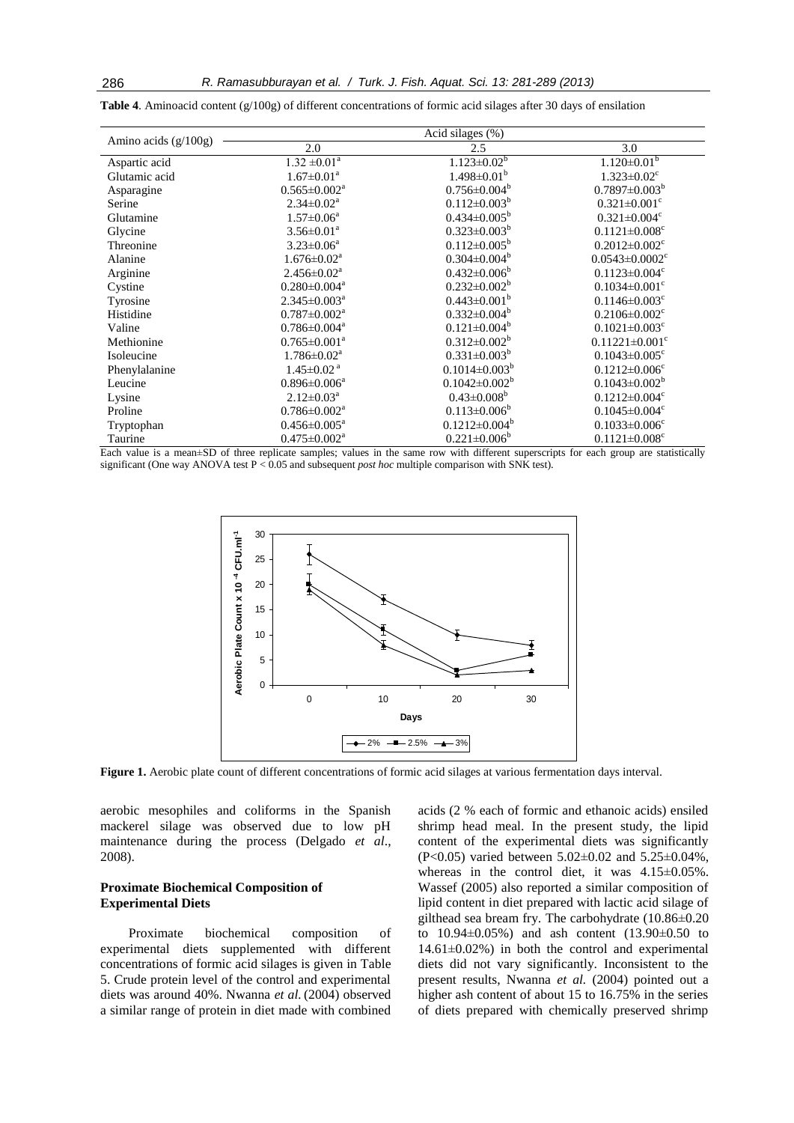|                        | Acid silages (%)             |                      |                                  |  |
|------------------------|------------------------------|----------------------|----------------------------------|--|
| Amino acids $(g/100g)$ | 2.0<br>2.5                   |                      | 3.0                              |  |
| Aspartic acid          | $1.32 \pm 0.01^a$            | $1.123 \pm 0.02^b$   | $1.120 \pm 0.01$ <sup>b</sup>    |  |
| Glutamic acid          | $1.67 \pm 0.01^a$            | $1.498 \pm 0.01^b$   | $1.323 \pm 0.02$ <sup>c</sup>    |  |
| Asparagine             | $0.565 \pm 0.002^a$          | $0.756 \pm 0.004^b$  | $0.7897 \pm 0.003^b$             |  |
| Serine                 | $2.34 \pm 0.02^a$            | $0.112 \pm 0.003^b$  | $0.321 \pm 0.001$ <sup>c</sup>   |  |
| Glutamine              | $1.57 \pm 0.06^{\text{a}}$   | $0.434 \pm 0.005^b$  | $0.321 \pm 0.004$ <sup>c</sup>   |  |
| Glycine                | $3.56 \pm 0.01^{\text{a}}$   | $0.323 \pm 0.003^b$  | $0.1121 \pm 0.008$ <sup>c</sup>  |  |
| Threonine              | $3.23 \pm 0.06^a$            | $0.112 \pm 0.005^b$  | $0.2012 \pm 0.002$ <sup>c</sup>  |  |
| Alanine                | $1.676 \pm 0.02^{\text{a}}$  | $0.304 \pm 0.004^b$  | $0.0543 \pm 0.0002$ <sup>c</sup> |  |
| Arginine               | $2.456 \pm 0.02^a$           | $0.432 \pm 0.006^b$  | $0.1123 \pm 0.004$ <sup>c</sup>  |  |
| Cystine                | $0.280 \pm 0.004^a$          | $0.232 \pm 0.002^b$  | $0.1034 \pm 0.001$ <sup>c</sup>  |  |
| Tyrosine               | $2.345 \pm 0.003^a$          | $0.443 \pm 0.001^b$  | $0.1146 \pm 0.003$ <sup>c</sup>  |  |
| Histidine              | $0.787 \pm 0.002^a$          | $0.332 \pm 0.004^b$  | $0.2106 \pm 0.002$ <sup>c</sup>  |  |
| Valine                 | $0.786 \pm 0.004^a$          | $0.121 \pm 0.004^b$  | $0.1021 \pm 0.003$ <sup>c</sup>  |  |
| Methionine             | $0.765 \pm 0.001^a$          | $0.312 \pm 0.002^b$  | $0.11221 \pm 0.001$ <sup>c</sup> |  |
| Isoleucine             | $1.786 \pm 0.02^a$           | $0.331 \pm 0.003^b$  | $0.1043 \pm 0.005$ <sup>c</sup>  |  |
| Phenylalanine          | $1.45 \pm 0.02$ <sup>a</sup> | $0.1014 \pm 0.003^b$ | $0.1212 \pm 0.006$ <sup>c</sup>  |  |
| Leucine                | $0.896 \pm 0.006^a$          | $0.1042 \pm 0.002^b$ | $0.1043 \pm 0.002^b$             |  |
| Lysine                 | $2.12 \pm 0.03^a$            | $0.43 \pm 0.008^b$   | $0.1212 \pm 0.004$ <sup>c</sup>  |  |
| Proline                | $0.786 \pm 0.002^{\text{a}}$ | $0.113 \pm 0.006^b$  | $0.1045 \pm 0.004$ <sup>c</sup>  |  |
| Tryptophan             | $0.456 \pm 0.005^{\text{a}}$ | $0.1212 \pm 0.004^b$ | $0.1033 \pm 0.006$ <sup>c</sup>  |  |
| Taurine                | $0.475 \pm 0.002^a$          | $0.221 \pm 0.006^b$  | $0.1121 \pm 0.008$ <sup>c</sup>  |  |

**Table 4**. Aminoacid content (g/100g) of different concentrations of formic acid silages after 30 days of ensilation

Each value is a mean±SD of three replicate samples; values in the same row with different superscripts for each group are statistically significant (One way ANOVA test P < 0.05 and subsequent *post hoc* multiple comparison with SNK test).



**Figure 1.** Aerobic plate count of different concentrations of formic acid silages at various fermentation days interval.

aerobic mesophiles and coliforms in the Spanish mackerel silage was observed due to low pH maintenance during the process (Delgado *et al*., 2008).

# **Proximate Biochemical Composition of Experimental Diets**

Proximate biochemical composition of experimental diets supplemented with different concentrations of formic acid silages is given in Table 5. Crude protein level of the control and experimental diets was around 40%. Nwanna *et al.* (2004) observed a similar range of protein in diet made with combined acids (2 % each of formic and ethanoic acids) ensiled shrimp head meal. In the present study, the lipid content of the experimental diets was significantly (P<0.05) varied between 5.02±0.02 and 5.25±0.04%, whereas in the control diet, it was  $4.15\pm0.05\%$ . Wassef (2005) also reported a similar composition of lipid content in diet prepared with lactic acid silage of gilthead sea bream fry. The carbohydrate (10.86±0.20 to 10.94±0.05%) and ash content (13.90±0.50 to  $14.61\pm0.02\%$ ) in both the control and experimental diets did not vary significantly. Inconsistent to the present results, Nwanna *et al.* (2004) pointed out a higher ash content of about 15 to 16.75% in the series of diets prepared with chemically preserved shrimp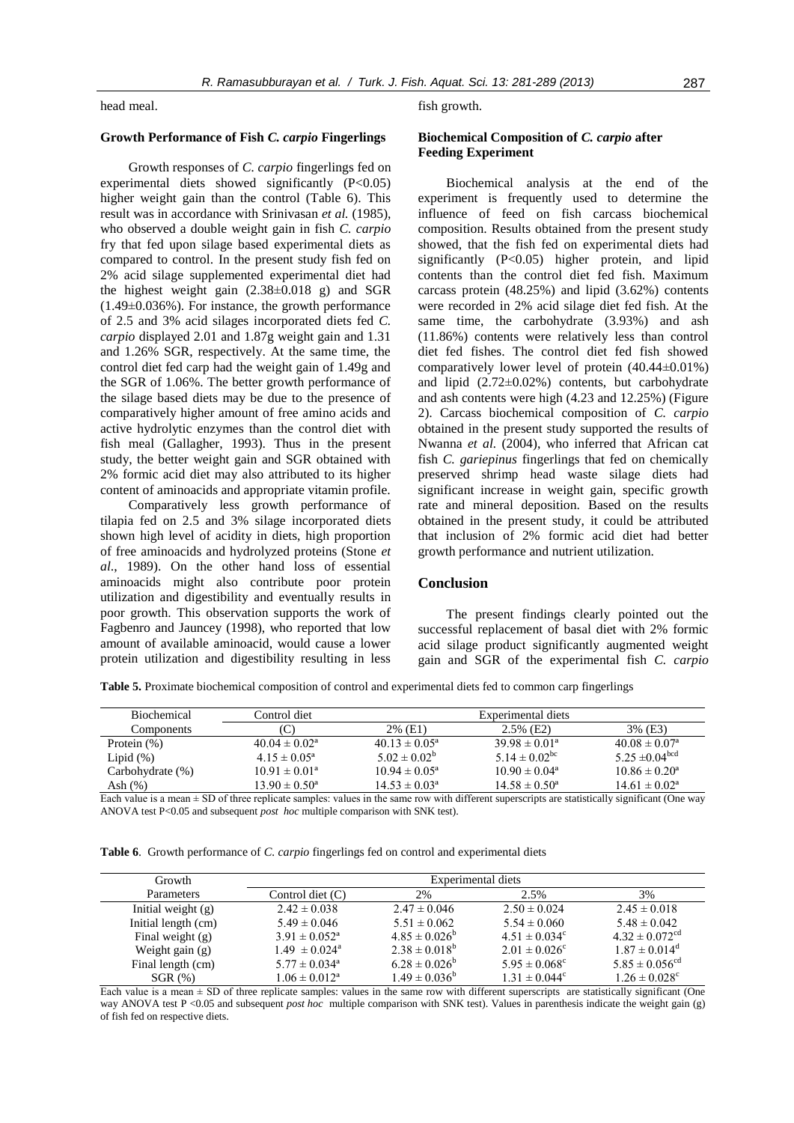head meal.

# **Growth Performance of Fish** *C. carpio* **Fingerlings**

Growth responses of *C. carpio* fingerlings fed on experimental diets showed significantly  $(P<0.05)$ higher weight gain than the control (Table 6). This result was in accordance with Srinivasan *et al.* (1985), who observed a double weight gain in fish *C. carpio* fry that fed upon silage based experimental diets as compared to control. In the present study fish fed on 2% acid silage supplemented experimental diet had the highest weight gain (2.38±0.018 g) and SGR (1.49±0.036%). For instance, the growth performance of 2.5 and 3% acid silages incorporated diets fed *C. carpio* displayed 2.01 and 1.87g weight gain and 1.31 and 1.26% SGR, respectively. At the same time, the control diet fed carp had the weight gain of 1.49g and the SGR of 1.06%. The better growth performance of the silage based diets may be due to the presence of comparatively higher amount of free amino acids and active hydrolytic enzymes than the control diet with fish meal (Gallagher, 1993). Thus in the present study, the better weight gain and SGR obtained with 2% formic acid diet may also attributed to its higher content of aminoacids and appropriate vitamin profile.

Comparatively less growth performance of tilapia fed on 2.5 and 3% silage incorporated diets shown high level of acidity in diets, high proportion of free aminoacids and hydrolyzed proteins (Stone *et al*., 1989). On the other hand loss of essential aminoacids might also contribute poor protein utilization and digestibility and eventually results in poor growth. This observation supports the work of Fagbenro and Jauncey (1998), who reported that low amount of available aminoacid, would cause a lower protein utilization and digestibility resulting in less fish growth.

# **Biochemical Composition of** *C. carpio* **after Feeding Experiment**

Biochemical analysis at the end of the experiment is frequently used to determine the influence of feed on fish carcass biochemical composition. Results obtained from the present study showed, that the fish fed on experimental diets had significantly (P<0.05) higher protein, and lipid contents than the control diet fed fish. Maximum carcass protein (48.25%) and lipid (3.62%) contents were recorded in 2% acid silage diet fed fish. At the same time, the carbohydrate (3.93%) and ash (11.86%) contents were relatively less than control diet fed fishes. The control diet fed fish showed comparatively lower level of protein (40.44±0.01%) and lipid (2.72±0.02%) contents, but carbohydrate and ash contents were high (4.23 and 12.25%) (Figure 2). Carcass biochemical composition of *C. carpio* obtained in the present study supported the results of Nwanna *et al.* (2004), who inferred that African cat fish *C. gariepinus* fingerlings that fed on chemically preserved shrimp head waste silage diets had significant increase in weight gain, specific growth rate and mineral deposition. Based on the results obtained in the present study, it could be attributed that inclusion of 2% formic acid diet had better growth performance and nutrient utilization.

#### **Conclusion**

The present findings clearly pointed out the successful replacement of basal diet with 2% formic acid silage product significantly augmented weight gain and SGR of the experimental fish *C. carpio* 

**Table 5.** Proximate biochemical composition of control and experimental diets fed to common carp fingerlings

| <b>Biochemical</b> | Control diet             |                          | Experimental diets            |                          |
|--------------------|--------------------------|--------------------------|-------------------------------|--------------------------|
| Components         | C                        | 2% (E1)                  | $2.5\%$ (E2)                  | 3% (E3)                  |
| Protein $(\%)$     | $40.04 \pm 0.02^{\circ}$ | $40.13 \pm 0.05^{\circ}$ | $39.98 \pm 0.01^a$            | $40.08 \pm 0.07^{\circ}$ |
| Lipid $(\%)$       | $4.15 \pm 0.05^{\circ}$  | $5.02 \pm 0.02^b$        | 5.14 $\pm$ 0.02 <sup>bc</sup> | $5.25 \pm 0.04^{bcd}$    |
| Carbohydrate (%)   | $10.91 \pm 0.01^a$       | $10.94 \pm 0.05^{\circ}$ | $10.90 \pm 0.04^{\circ}$      | $10.86 \pm 0.20^a$       |
| Ash $(\%)$         | $13.90 \pm 0.50^{\circ}$ | $14.53 \pm 0.03^{\circ}$ | $14.58 \pm 0.50^{\circ}$      | $14.61 \pm 0.02^{\circ}$ |

Each value is a mean  $\pm$  SD of three replicate samples: values in the same row with different superscripts are statistically significant (One way ANOVA test P<0.05 and subsequent *post hoc* multiple comparison with SNK test).

**Table 6**. Growth performance of *C. carpio* fingerlings fed on control and experimental diets

| Growth               | Experimental diets            |                    |                          |                                |
|----------------------|-------------------------------|--------------------|--------------------------|--------------------------------|
| Parameters           | Control diet $(C)$            | 2%                 | 2.5%                     | 3%                             |
| Initial weight $(g)$ | $2.42 \pm 0.038$              | $2.47 \pm 0.046$   | $2.50 \pm 0.024$         | $2.45 \pm 0.018$               |
| Initial length (cm)  | $5.49 \pm 0.046$              | $5.51 \pm 0.062$   | $5.54 \pm 0.060$         | $5.48 \pm 0.042$               |
| Final weight $(g)$   | $3.91 \pm 0.052^{\circ}$      | $4.85 \pm 0.026^b$ | $4.51 \pm 0.034^c$       | $4.32 \pm 0.072$ <sup>cd</sup> |
| Weight gain $(g)$    | $1.49 \pm 0.024^{\circ}$      | $2.38 \pm 0.018^b$ | $2.01 \pm 0.026^{\circ}$ | $1.87 \pm 0.014^{\text{d}}$    |
| Final length (cm)    | $5.77 \pm 0.034$ <sup>a</sup> | $6.28 \pm 0.026^b$ | $5.95 \pm 0.068^{\circ}$ | $5.85 \pm 0.056$ <sup>cd</sup> |
| $SGR$ $(\%)$         | $1.06 \pm 0.012^a$            | $1.49 \pm 0.036^b$ | $1.31 \pm 0.044^c$       | $1.26 \pm 0.028$ <sup>c</sup>  |

Each value is a mean  $\pm$  SD of three replicate samples: values in the same row with different superscripts are statistically significant (One way ANOVA test P <0.05 and subsequent *post hoc* multiple comparison with SNK test). Values in parenthesis indicate the weight gain (g) of fish fed on respective diets.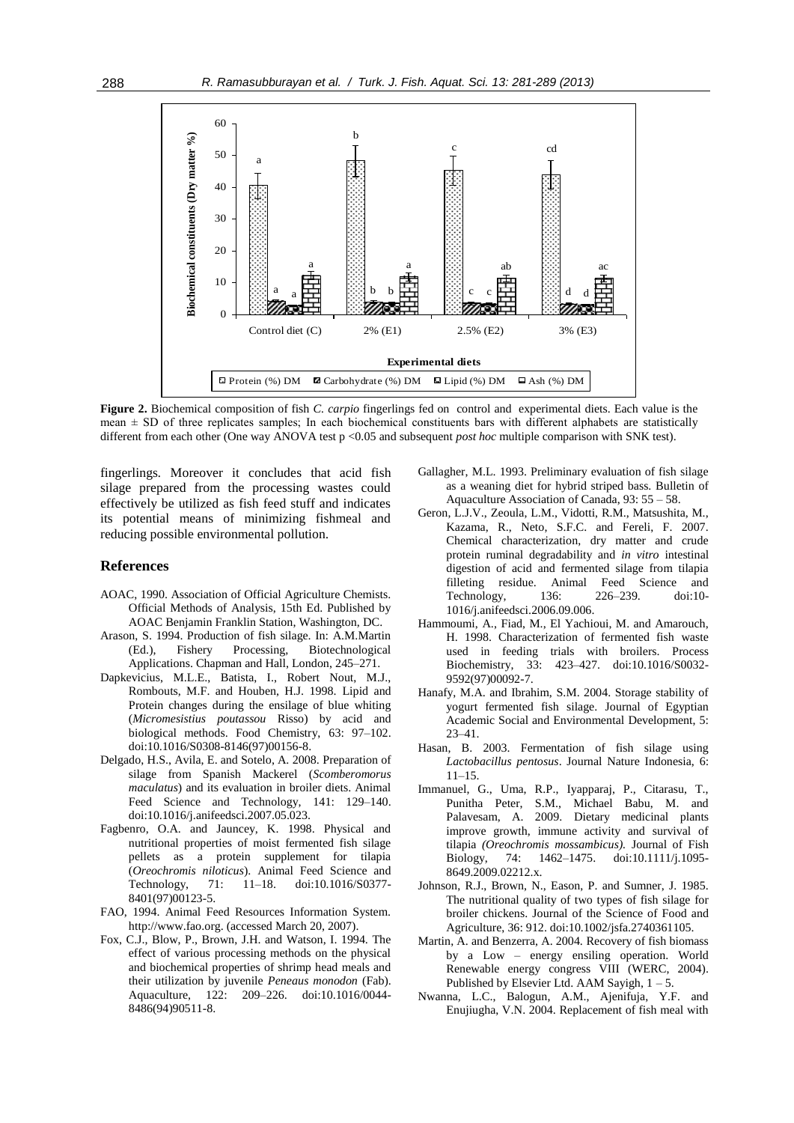

**Figure 2.** Biochemical composition of fish *C. carpio* fingerlings fed on control and experimental diets. Each value is the mean  $\pm$  SD of three replicates samples; In each biochemical constituents bars with different alphabets are statistically different from each other (One way ANOVA test p <0.05 and subsequent *post hoc* multiple comparison with SNK test).

fingerlings*.* Moreover it concludes that acid fish silage prepared from the processing wastes could effectively be utilized as fish feed stuff and indicates its potential means of minimizing fishmeal and reducing possible environmental pollution.

# **References**

- AOAC, 1990. Association of Official Agriculture Chemists. Official Methods of Analysis, 15th Ed. Published by AOAC Benjamin Franklin Station, Washington, DC.
- Arason, S. 1994. Production of fish silage. In: A.M.Martin (Ed.), Fishery Processing, Biotechnological Applications. Chapman and Hall, London, 245–271.
- Dapkevicius, M.L.E., Batista, I., Robert Nout, M.J., Rombouts, M.F. and Houben, H.J. 1998. Lipid and Protein changes during the ensilage of blue whiting (*Micromesistius poutassou* Risso) by acid and biological methods. Food Chemistry, 63: 97–102. doi:10.1016/S0308-8146(97)00156-8.
- Delgado, H.S., Avila, E. and Sotelo, A. 2008. Preparation of silage from Spanish Mackerel (*Scomberomorus maculatus*) and its evaluation in broiler diets. Animal Feed Science and Technology, 141: 129–140. doi:10.1016/j.anifeedsci.2007.05.023.
- Fagbenro, O.A. and Jauncey, K. 1998. Physical and nutritional properties of moist fermented fish silage pellets as a protein supplement for tilapia (*Oreochromis niloticus*). Animal Feed Science and Technology, 71: 11–18. doi:10.1016/S0377- 8401(97)00123-5.
- FAO, 1994. Animal Feed Resources Information System. http://www.fao.org. (accessed March 20, 2007).
- Fox, C.J., Blow, P., Brown, J.H. and Watson, I. 1994. The effect of various processing methods on the physical and biochemical properties of shrimp head meals and their utilization by juvenile *Peneaus monodon* (Fab). Aquaculture, 122: 209–226. doi:10.1016/0044- 8486(94)90511-8.
- Gallagher, M.L. 1993. Preliminary evaluation of fish silage as a weaning diet for hybrid striped bass. Bulletin of Aquaculture Association of Canada, 93: 55 – 58.
- Geron, L.J.V., Zeoula, L.M., Vidotti, R.M., Matsushita, M., Kazama, R., Neto, S.F.C. and Fereli, F. 2007. Chemical characterization, dry matter and crude protein ruminal degradability and *in vitro* intestinal digestion of acid and fermented silage from tilapia filleting residue. Animal Feed Science and Technology, 136: 226–239. doi:10- 1016/j.anifeedsci.2006.09.006.
- Hammoumi, A., Fiad, M., El Yachioui, M. and Amarouch, H. 1998. Characterization of fermented fish waste used in feeding trials with broilers. Process Biochemistry, 33: 423–427. doi:10.1016/S0032- 9592(97)00092-7.
- Hanafy, M.A. and Ibrahim, S.M. 2004. Storage stability of yogurt fermented fish silage. Journal of Egyptian Academic Social and Environmental Development, 5: 23–41.
- Hasan, B. 2003. Fermentation of fish silage using *Lactobacillus pentosus*. Journal Nature Indonesia, 6: 11–15.
- Immanuel, G., Uma, R.P., Iyapparaj, P., Citarasu, T., Punitha Peter, S.M., Michael Babu, M. and Palavesam, A. 2009. Dietary medicinal plants improve growth, immune activity and survival of tilapia *(Oreochromis mossambicus).* Journal of Fish Biology, 74: 1462–1475. doi:10.1111/j.1095- 8649.2009.02212.x.
- Johnson, R.J., Brown, N., Eason, P. and Sumner, J. 1985. The nutritional quality of two types of fish silage for broiler chickens. Journal of the Science of Food and Agriculture, 36: 912. doi:10.1002/jsfa.2740361105.
- Martin, A. and Benzerra, A. 2004. Recovery of fish biomass by a Low – energy ensiling operation. World Renewable energy congress VIII (WERC, 2004). Published by Elsevier Ltd. AAM Sayigh,  $1 - 5$ .
- Nwanna, L.C., Balogun, A.M., Ajenifuja, Y.F. and Enujiugha, V.N. 2004. Replacement of fish meal with